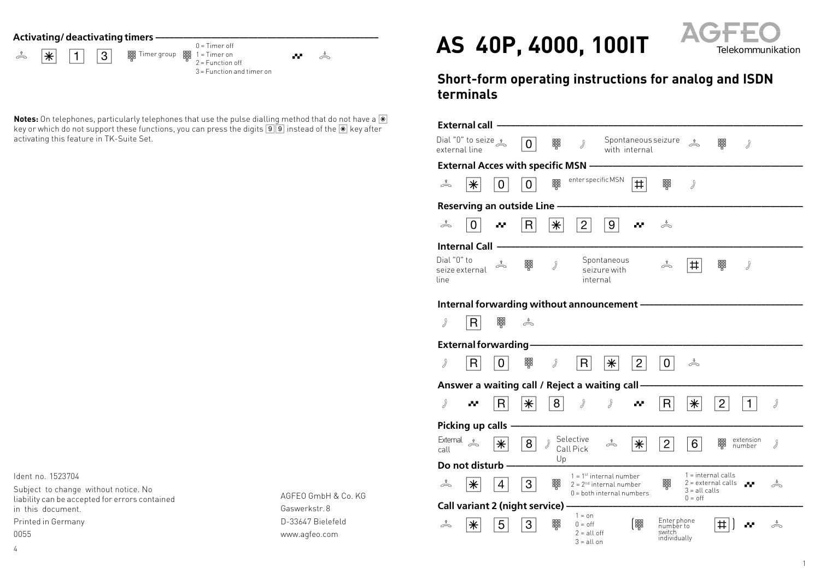**Activating/ deactivating timers**  $\cdot$ 

hS13Z Z Qª Timer group 0 = Timer off 1 = Timer on 2 = Function off 3 = Function and timer on

**Notes:** On telephones, particularly telephones that use the pulse dialling method that do not have a  $\mathbb{F}$ key or which do not support these functions, you can press the digits  $\boxed{9}$  instead of the  $\boxed{\ast}$  key after activating this feature in TK-Suite Set.

Ident no. 1523704

Subject to change without notice. No liability can be accepted for errors contained in this document.

Printed in Germany 0055

4

AGFEO GmbH & Co. KG Gaswerkstr. 8 D-33647 Bielefeld www.agfeo.com



## **Short-form operating instructions for analog and ISDN terminals**

| <b>External call</b> .                         |                                        |             |             |               |                                                   |                                                                                       |                                      |                                                    |                                                                                   |                |                     |                                                                     |
|------------------------------------------------|----------------------------------------|-------------|-------------|---------------|---------------------------------------------------|---------------------------------------------------------------------------------------|--------------------------------------|----------------------------------------------------|-----------------------------------------------------------------------------------|----------------|---------------------|---------------------------------------------------------------------|
| external line                                  | Dial "0" to seize $\frac{1}{\sqrt{2}}$ |             | 0           | 鼺             | d                                                 |                                                                                       | Spontaneous seizure<br>with internal |                                                    | $\stackrel{\text{f}}{\rightleftharpoons}$                                         | 鼺              | d                   |                                                                     |
| <b>External Acces with specific MSN -</b>      |                                        |             |             |               |                                                   |                                                                                       |                                      |                                                    |                                                                                   |                |                     |                                                                     |
| å                                              | $\ast$                                 | 0           | 0           | 鼺             | enter specific MSN                                |                                                                                       | #                                    | 鼺                                                  | d                                                                                 |                |                     |                                                                     |
| Reserving an outside Line                      |                                        |             |             |               |                                                   |                                                                                       |                                      |                                                    |                                                                                   |                |                     |                                                                     |
| å                                              | 0                                      |             | R           | $\ast$        | $\overline{2}$                                    | 9                                                                                     |                                      | å                                                  |                                                                                   |                |                     |                                                                     |
| <b>Internal Call</b>                           |                                        |             |             |               |                                                   |                                                                                       |                                      |                                                    |                                                                                   |                |                     |                                                                     |
| Dial "0" to<br>line                            | seize external                         | $\triangle$ | 鼺           | $\mathcal{Y}$ | internal                                          | Spontaneous<br>seizure with                                                           |                                      | ♪                                                  | #                                                                                 | 鼺              | d                   |                                                                     |
| Internal forwarding without announcement       |                                        |             |             |               |                                                   |                                                                                       |                                      |                                                    |                                                                                   |                |                     |                                                                     |
| ď                                              | R                                      | 鼺           | $\triangle$ |               |                                                   |                                                                                       |                                      |                                                    |                                                                                   |                |                     |                                                                     |
| <b>External forwarding-</b>                    |                                        |             |             |               |                                                   |                                                                                       |                                      |                                                    |                                                                                   |                |                     |                                                                     |
| d                                              | R.                                     | 0           | 鼺           | d             | R                                                 | $\left \ast\right $                                                                   | $\overline{2}$                       | 0                                                  | ♪                                                                                 |                |                     |                                                                     |
| Answer a waiting call / Reject a waiting call- |                                        |             |             |               |                                                   |                                                                                       |                                      |                                                    |                                                                                   |                |                     |                                                                     |
| d                                              |                                        | R           | $\ast$      | 8             |                                                   | 》                                                                                     |                                      | R                                                  | $\ast$                                                                            | $\overline{2}$ | 1                   | J                                                                   |
| Picking up calls                               |                                        |             |             |               |                                                   |                                                                                       |                                      |                                                    |                                                                                   |                |                     |                                                                     |
| External<br>call                               | $\Rightarrow$                          | $\ast$      | 8           |               | Selective<br>Call Pick                            |                                                                                       | $\ast$                               | $\overline{2}$                                     | 6                                                                                 | 鼺              | extension<br>number | $\mathcal{J}% _{M_{1},M_{2}}^{(h,\sigma),(h,\sigma)}(-\varepsilon)$ |
| Up<br>Do not disturb -                         |                                        |             |             |               |                                                   |                                                                                       |                                      |                                                    |                                                                                   |                |                     |                                                                     |
| ó                                              | ⋇                                      | 4           | 3           | 鼺             |                                                   | $1 = 1st$ internal number<br>$2 = 2nd$ internal number<br>$0 =$ both internal numbers |                                      | 鼺                                                  | $1 =$ internal calls<br>2 = external calls<br>$3 = alt calls$<br>$0 = \text{off}$ |                | الوال               | $\stackrel{\ast}{\frown}$                                           |
| Call variant 2 (night service) -<br>$1 = on$   |                                        |             |             |               |                                                   |                                                                                       |                                      |                                                    |                                                                                   |                |                     |                                                                     |
| å                                              | ⋇                                      | 5           | 3           | 鼺             | $0 = \text{off}$<br>$2 = all off$<br>$3 = all$ on |                                                                                       |                                      | Enter phone<br>number to<br>switch<br>individually |                                                                                   | ♯              |                     | ♪                                                                   |